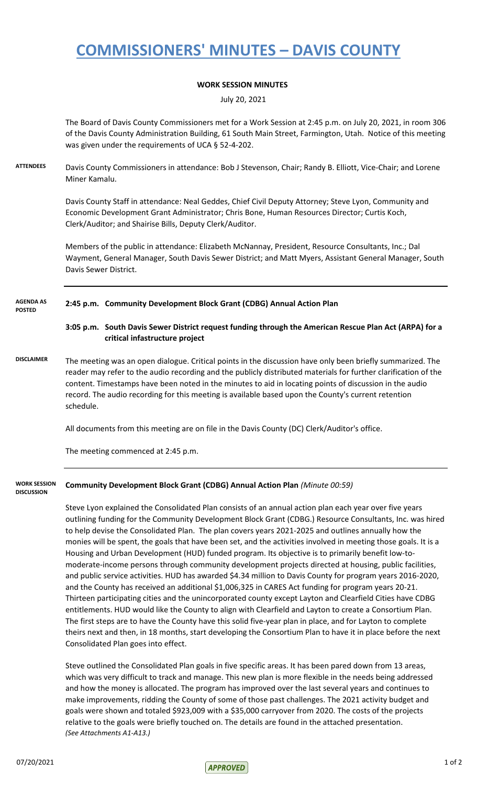# **COMMISSIONERS' MINUTES – DAVIS COUNTY**

### **WORK SESSION MINUTES**

July 20, 2021

The Board of Davis County Commissioners met for a Work Session at 2:45 p.m. on July 20, 2021, in room 306 of the Davis County Administration Building, 61 South Main Street, Farmington, Utah. Notice of this meeting was given under the requirements of UCA § 52-4-202.

**ATTENDEES** Davis County Commissioners in attendance: Bob J Stevenson, Chair; Randy B. Elliott, Vice-Chair; and Lorene Miner Kamalu.

> Davis County Staff in attendance: Neal Geddes, Chief Civil Deputy Attorney; Steve Lyon, Community and Economic Development Grant Administrator; Chris Bone, Human Resources Director; Curtis Koch, Clerk/Auditor; and Shairise Bills, Deputy Clerk/Auditor.

Members of the public in attendance: Elizabeth McNannay, President, Resource Consultants, Inc.; Dal Wayment, General Manager, South Davis Sewer District; and Matt Myers, Assistant General Manager, South Davis Sewer District.

#### **2:45 p.m. Community Development Block Grant (CDBG) Annual Action Plan AGENDA AS POSTED**

**3:05 p.m. South Davis Sewer District request funding through the American Rescue Plan Act (ARPA) for a critical infastructure project**

**DISCLAIMER** The meeting was an open dialogue. Critical points in the discussion have only been briefly summarized. The reader may refer to the audio recording and the publicly distributed materials for further clarification of the content. Timestamps have been noted in the minutes to aid in locating points of discussion in the audio record. The audio recording for this meeting is available based upon the County's current retention schedule.

All documents from this meeting are on file in the Davis County (DC) Clerk/Auditor's office.

The meeting commenced at 2:45 p.m.

#### **Community Development Block Grant (CDBG) Annual Action Plan** *(Minute 00:59)* **WORK SESSION DISCUSSION**

Steve Lyon explained the Consolidated Plan consists of an annual action plan each year over five years outlining funding for the Community Development Block Grant (CDBG.) Resource Consultants, Inc. was hired to help devise the Consolidated Plan. The plan covers years 2021-2025 and outlines annually how the monies will be spent, the goals that have been set, and the activities involved in meeting those goals. It is a Housing and Urban Development (HUD) funded program. Its objective is to primarily benefit low-tomoderate-income persons through community development projects directed at housing, public facilities, and public service activities. HUD has awarded \$4.34 million to Davis County for program years 2016-2020, and the County has received an additional \$1,006,325 in CARES Act funding for program years 20-21. Thirteen participating cities and the unincorporated county except Layton and Clearfield Cities have CDBG entitlements. HUD would like the County to align with Clearfield and Layton to create a Consortium Plan. The first steps are to have the County have this solid five-year plan in place, and for Layton to complete theirs next and then, in 18 months, start developing the Consortium Plan to have it in place before the next Consolidated Plan goes into effect.

Steve outlined the Consolidated Plan goals in five specific areas. It has been pared down from 13 areas, which was very difficult to track and manage. This new plan is more flexible in the needs being addressed and how the money is allocated. The program has improved over the last several years and continues to make improvements, ridding the County of some of those past challenges. The 2021 activity budget and goals were shown and totaled \$923,009 with a \$35,000 carryover from 2020. The costs of the projects relative to the goals were briefly touched on. The details are found in the attached presentation. *(See Attachments A1-A13.)*